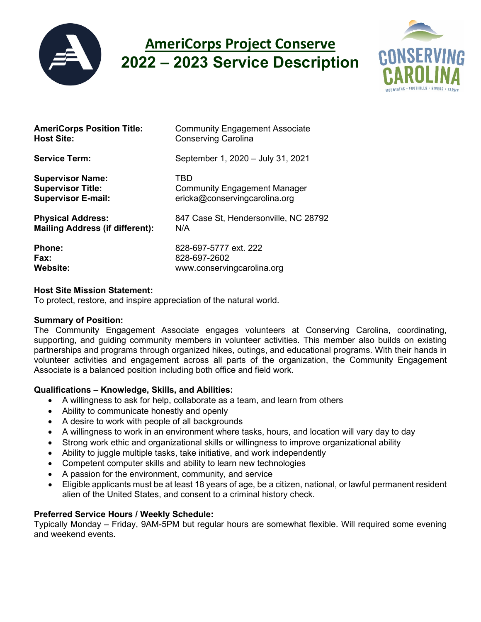

# **AmeriCorps Project Conserve 2022 – 2023 Service Description**



| <b>AmeriCorps Position Title:</b>      | <b>Community Engagement Associate</b> |
|----------------------------------------|---------------------------------------|
| <b>Host Site:</b>                      | <b>Conserving Carolina</b>            |
| <b>Service Term:</b>                   | September 1, 2020 - July 31, 2021     |
| <b>Supervisor Name:</b>                | TBD                                   |
| <b>Supervisor Title:</b>               | <b>Community Engagement Manager</b>   |
| <b>Supervisor E-mail:</b>              | ericka@conservingcarolina.org         |
| <b>Physical Address:</b>               | 847 Case St, Hendersonville, NC 28792 |
| <b>Mailing Address (if different):</b> | N/A                                   |
| Phone:                                 | 828-697-5777 ext. 222                 |
| Fax:                                   | 828-697-2602                          |
| <b>Website:</b>                        | www.conservingcarolina.org            |

## **Host Site Mission Statement:**

To protect, restore, and inspire appreciation of the natural world.

#### **Summary of Position:**

The Community Engagement Associate engages volunteers at Conserving Carolina, coordinating, supporting, and guiding community members in volunteer activities. This member also builds on existing partnerships and programs through organized hikes, outings, and educational programs. With their hands in volunteer activities and engagement across all parts of the organization, the Community Engagement Associate is a balanced position including both office and field work.

## **Qualifications – Knowledge, Skills, and Abilities:**

- A willingness to ask for help, collaborate as a team, and learn from others
- Ability to communicate honestly and openly
- A desire to work with people of all backgrounds
- A willingness to work in an environment where tasks, hours, and location will vary day to day
- Strong work ethic and organizational skills or willingness to improve organizational ability
- Ability to juggle multiple tasks, take initiative, and work independently
- Competent computer skills and ability to learn new technologies
- A passion for the environment, community, and service
- Eligible applicants must be at least 18 years of age, be a citizen, national, or lawful permanent resident alien of the United States, and consent to a criminal history check.

## **Preferred Service Hours / Weekly Schedule:**

Typically Monday – Friday, 9AM-5PM but regular hours are somewhat flexible. Will required some evening and weekend events.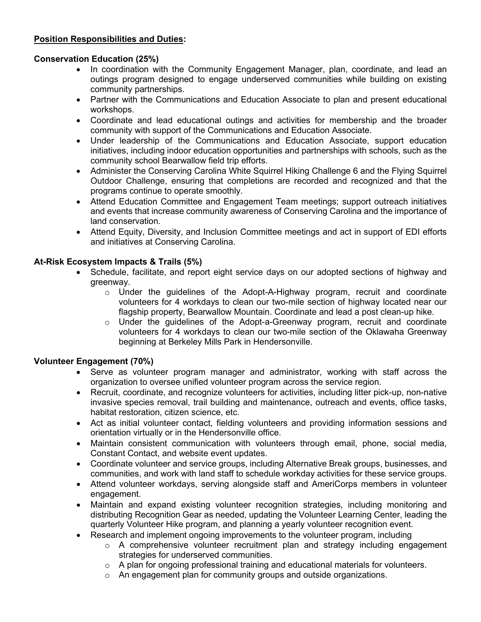## **Position Responsibilities and Duties:**

## **Conservation Education (25%)**

- In coordination with the Community Engagement Manager, plan, coordinate, and lead an outings program designed to engage underserved communities while building on existing community partnerships.
- Partner with the Communications and Education Associate to plan and present educational workshops.
- Coordinate and lead educational outings and activities for membership and the broader community with support of the Communications and Education Associate.
- Under leadership of the Communications and Education Associate, support education initiatives, including indoor education opportunities and partnerships with schools, such as the community school Bearwallow field trip efforts.
- Administer the Conserving Carolina White Squirrel Hiking Challenge 6 and the Flying Squirrel Outdoor Challenge, ensuring that completions are recorded and recognized and that the programs continue to operate smoothly.
- Attend Education Committee and Engagement Team meetings; support outreach initiatives and events that increase community awareness of Conserving Carolina and the importance of land conservation.
- Attend Equity, Diversity, and Inclusion Committee meetings and act in support of EDI efforts and initiatives at Conserving Carolina.

## **At-Risk Ecosystem Impacts & Trails (5%)**

- Schedule, facilitate, and report eight service days on our adopted sections of highway and greenway.
	- $\circ$  Under the guidelines of the Adopt-A-Highway program, recruit and coordinate volunteers for 4 workdays to clean our two-mile section of highway located near our flagship property, Bearwallow Mountain. Coordinate and lead a post clean-up hike.
	- $\circ$  Under the quidelines of the Adopt-a-Greenway program, recruit and coordinate volunteers for 4 workdays to clean our two-mile section of the Oklawaha Greenway beginning at Berkeley Mills Park in Hendersonville.

## **Volunteer Engagement (70%)**

- Serve as volunteer program manager and administrator, working with staff across the organization to oversee unified volunteer program across the service region.
- Recruit, coordinate, and recognize volunteers for activities, including litter pick-up, non-native invasive species removal, trail building and maintenance, outreach and events, office tasks, habitat restoration, citizen science, etc.
- Act as initial volunteer contact, fielding volunteers and providing information sessions and orientation virtually or in the Hendersonville office.
- Maintain consistent communication with volunteers through email, phone, social media, Constant Contact, and website event updates.
- Coordinate volunteer and service groups, including Alternative Break groups, businesses, and communities, and work with land staff to schedule workday activities for these service groups.
- Attend volunteer workdays, serving alongside staff and AmeriCorps members in volunteer engagement.
- Maintain and expand existing volunteer recognition strategies, including monitoring and distributing Recognition Gear as needed, updating the Volunteer Learning Center, leading the quarterly Volunteer Hike program, and planning a yearly volunteer recognition event.
- Research and implement ongoing improvements to the volunteer program, including
	- o A comprehensive volunteer recruitment plan and strategy including engagement strategies for underserved communities.
	- $\circ$  A plan for ongoing professional training and educational materials for volunteers.
	- o An engagement plan for community groups and outside organizations.